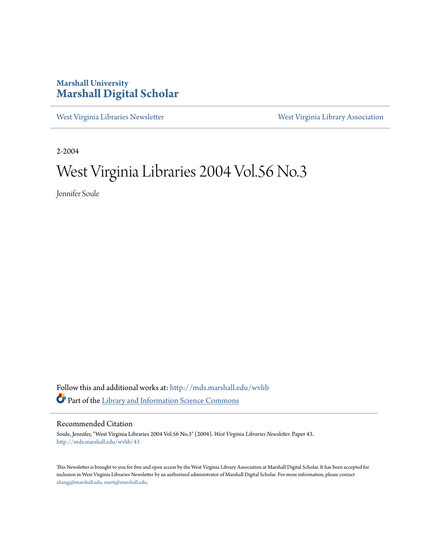#### **Marshall University [Marshall Digital Scholar](http://mds.marshall.edu?utm_source=mds.marshall.edu%2Fwvlib%2F43&utm_medium=PDF&utm_campaign=PDFCoverPages)**

[West Virginia Libraries Newsletter](http://mds.marshall.edu/wvlib?utm_source=mds.marshall.edu%2Fwvlib%2F43&utm_medium=PDF&utm_campaign=PDFCoverPages) [West Virginia Library Association](http://mds.marshall.edu/wvla?utm_source=mds.marshall.edu%2Fwvlib%2F43&utm_medium=PDF&utm_campaign=PDFCoverPages)

2-2004

### West Virginia Libraries 2004 Vol.56 No.3

Jennifer Soule

Follow this and additional works at: [http://mds.marshall.edu/wvlib](http://mds.marshall.edu/wvlib?utm_source=mds.marshall.edu%2Fwvlib%2F43&utm_medium=PDF&utm_campaign=PDFCoverPages) Part of the [Library and Information Science Commons](http://network.bepress.com/hgg/discipline/1018?utm_source=mds.marshall.edu%2Fwvlib%2F43&utm_medium=PDF&utm_campaign=PDFCoverPages)

#### Recommended Citation

Soule, Jennifer, "West Virginia Libraries 2004 Vol.56 No.3" (2004). *West Virginia Libraries Newsletter.* Paper 43. [http://mds.marshall.edu/wvlib/43](http://mds.marshall.edu/wvlib/43?utm_source=mds.marshall.edu%2Fwvlib%2F43&utm_medium=PDF&utm_campaign=PDFCoverPages)

This Newsletter is brought to you for free and open access by the West Virginia Library Association at Marshall Digital Scholar. It has been accepted for inclusion in West Virginia Libraries Newsletter by an authorized administrator of Marshall Digital Scholar. For more information, please contact [zhangj@marshall.edu, martj@marshall.edu](mailto:zhangj@marshall.edu,%20martj@marshall.edu).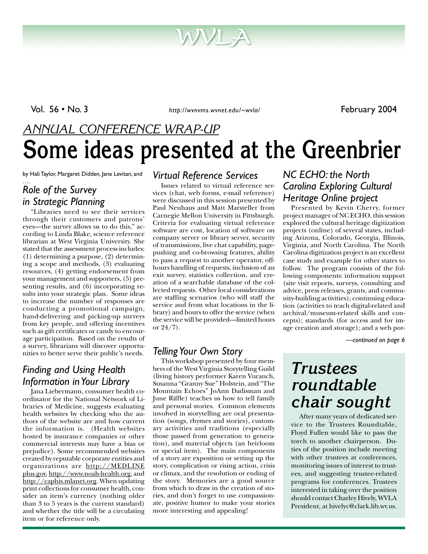Vol. 56 • No. 3 *http://wvnvms.wvnet.edu/~wvla/* February 2004

## *ANNUAL CONFERENCE WRAP-UP* **Some ideas presented at the Greenbrier**

by Hali Taylor, Margaret Didden, Jane Levitan, and

#### …. *Role of the Survey in Strategic Planning*

"Libraries need to see their services through their customers and patrons' eyes—the survey allows us to do this," according to Linda Blake, science reference librarian at West Virginia University. She stated that the assessment process includes: (1) determining a purpose, (2) determining a scope and methods, (3) evaluating resources, (4) getting endorsement from your management and supporters, (5) presenting results, and (6) incorporating results into your strategic plan. Some ideas to increase the number of responses are conducting a promotional campaign, hand-delivering and picking-up surveys from key people, and offering incentives such as gift certificates or candy to encourage participation. Based on the results of a survey, librarians will discover opportunities to better serve their public's needs.

#### *Finding and Using Health Information in Your Library*

Jana Liebermann, consumer health coordinator for the National Network of Libraries of Medicine, suggests evaluating health websites by checking who the authors of the website are and how current the information is. (Health websites hosted by insurance companies or other commercial interests may have a bias or prejudice). Some recommended websites created by reputable corporate entities and organizations are http://MEDLINE plus.gov, http://www.noah-health.org, and http://caphis.mlanet.org. When updating print collections for consumer health, consider an item's currency (nothing older than 3 to 5 years is the current standard) and whether the title will be a circulating item or for reference only.

#### *Virtual Reference Services*

Issues related to virtual reference services (chat, web forms, e-mail reference) were discussed in this session presented by Paul Neuhaus and Matt Marsteller from Carnegie Mellon University in Pittsburgh. Criteria for evaluating virtual reference software are cost, location of software on company server or library server, security of transmissions, live chat capability, pagepushing and co-browsing features, ability to pass a request to another operator, offhours handling of requests, inclusion of an exit survey, statistics collection, and creation of a searchable database of the collected requests. Other local considerations are staffing scenarios (who will staff the service and from what locations in the library) and hours to offer the service (when the service will be provided—limited hours or 24/7).

#### *Telling Your Own Story*

This workshop presented by four members of the West Virginia Storytelling Guild (living history performer Karen Vuranch, Susanna "Granny Sue" Holstein, and "The Mountain Echoes" JoAnn Dadisman and June Riffle) teaches us how to tell family and personal stories. Common elements involved in storytelling are oral presentation (songs, rhymes and stories), customary activities and traditions (especially those passed from generation to generation), and material objects (an heirloom or special item). The main components of a story are exposition or setting up the story, complication or rising action, crisis or climax, and the resolution or ending of the story. Memories are a good source from which to draw in the creation of stories, and don't forget to use compassionate, positive humor to make your stories more interesting and appealing!

#### *NC ECHO: the North Carolina Exploring Cultural Heritage Online project*

Presented by Kevin Cherry, former project manager of NC ECHO, this session explored the cultural heritage digitization projects (online) of several states, including Arizona, Colorado, Georgia, Illinois, Virginia, and North Carolina. The North Carolina digitization project is an excellent case study and example for other states to follow. The program consists of the following components: information support (site visit reports, surveys, consulting and advice, press releases, grants, and community-building activities); continuing education (activities to teach digital-related and archival/museum-related skills and concepts); standards (for access and for image creation and storage); and a web por-

*—continued on page 6*

### *Trustees roundtable chair sought*

After many years of dedicated service to the Trustees Roundtable, Floyd Fullen would like to pass the torch to another chairperson. Duties of the position include meeting with other trustees at conferences, monitoring issues of interest to trustees, and suggesting trustee-related programs for conferences. Trustees interested in taking over the position should contact Charley Hively, WVLA President, at hivelyc@clark.lib.wv.us.

1 February 2004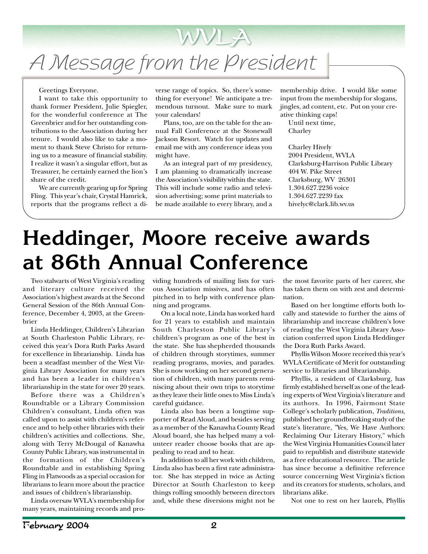# A Message from the President

#### Greetings Everyone.

I want to take this opportunity to thank former President, Julie Spiegler, for the wonderful conference at The Greenbrier and for her outstanding contributions to the Association during her tenure. I would also like to take a moment to thank Steve Christo for returning us to a measure of financial stability. I realize it wasn't a singular effort, but as Treasurer, he certainly earned the lion's share of the credit.

We are currently gearing up for Spring Fling. This year's chair, Crystal Hamrick, reports that the programs reflect a diverse range of topics. So, there's something for everyone! We anticipate a tremendous turnout. Make sure to mark your calendars!

WVLA

Plans, too, are on the table for the annual Fall Conference at the Stonewall Jackson Resort. Watch for updates and email me with any conference ideas you might have.

As an integral part of my presidency, I am planning to dramatically increase the Association's visibility within the state. This will include some radio and television advertising; some print materials to be made available to every library, and a

membership drive. I would like some input from the membership for slogans, jingles, ad content, etc. Put on your creative thinking caps!

Until next time, Charley

Charley Hively 2004 President, WVLA Clarksburg-Harrison Public Library 404 W. Pike Street Clarksburg, WV 26301 1.304.627.2236 voice 1.304.627.2239 fax hivelyc@clark.lib.wv.us

# **Heddinger, Moore receive awards at 86th Annual Conference**

Two stalwarts of West Virginia's reading and literary culture received the Association's highest awards at the Second General Session of the 86th Annual Conference, December 4, 2003, at the Greenbrier

Linda Heddinger, Children's Librarian at South Charleston Public Library, received this year's Dora Ruth Parks Award for excellence in librarianship. Linda has been a steadfast member of the West Virginia Library Association for many years and has been a leader in children's librarianship in the state for over 20 years.

Before there was a Children's Roundtable or a Library Commission Children's consultant, Linda often was called upon to assist with children's reference and to help other libraries with their children's activities and collections. She, along with Terry McDougal of Kanawha County Public Library, was instrumental in the formation of the Children's Roundtable and in establishing Spring Fling in Flatwoods as a special occasion for librarians to learn more about the practice and issues of children's librarianship.

Linda oversaw WVLA's membership for many years, maintaining records and providing hundreds of mailing lists for various Association missives, and has often pitched in to help with conference planning and programs.

On a local note, Linda has worked hard for 21 years to establish and maintain South Charleston Public Library's children's program as one of the best in the state. She has shepherded thousands of children through storytimes, summer reading programs, movies, and parades. She is now working on her second generation of children, with many parents reminiscing about their own trips to storytime as they leave their little ones to Miss Linda's careful guidance.

Linda also has been a longtime supporter of Read Aloud, and besides serving as a member of the Kanawha County Read Aloud board, she has helped many a volunteer reader choose books that are appealing to read and to hear.

In addition to all her work with children, Linda also has been a first rate administrator. She has stepped in twice as Acting Director at South Charleston to keep things rolling smoothly between directors and, while these diversions might not be

the most favorite parts of her career, she has taken them on with zest and determination.

Based on her longtime efforts both locally and statewide to further the aims of librarianship and increase children's love of reading the West Virginia Library Association conferred upon Linda Heddinger the Dora Ruth Parks Award.

Phyllis Wilson Moore received this year's WVLA Certificate of Merit for outstanding service to libraries and librarianship.

Phyllis, a resident of Clarksburg, has firmly established herself as one of the leading experts of West Virginia's literature and its authors. In 1996, Fairmont State College's scholarly publication, *Traditions*, published her groundbreaking study of the state's literature, "Yes, We Have Authors: Reclaiming Our Literary History," which the West Virginia Humanities Council later paid to republish and distribute statewide as a free educational resource. The article has since become a definitive reference source concerning West Virginia's fiction and its creators for students, scholars, and librarians alike.

Not one to rest on her laurels, Phyllis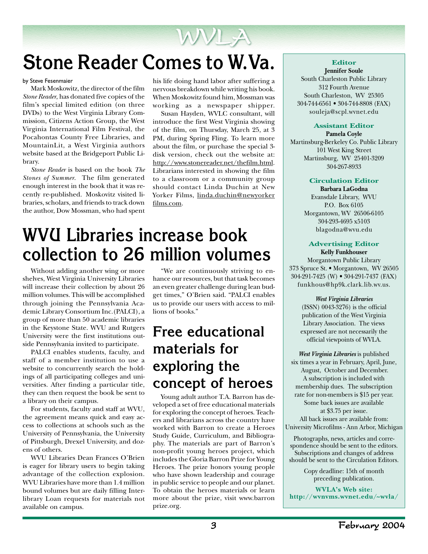## **Stone Reader Comes to W.Va.**

by Steve Fesenmaier

Mark Moskowitz, the director of the film *Stone Reader*, has donated five copies of the film's special limited edition (on three DVDs) to the West Virginia Library Commission, Citizens Action Group, the West Virginia International Film Festival, the Pocahontas County Free Libraries, and MountainLit, a West Virginia authors website based at the Bridgeport Public Library.

*Stone Reader* is based on the book *The Stones of Summer*. The film generated enough interest in the book that it was recently re-published. Moskovitz visited libraries, scholars, and friends to track down the author, Dow Mossman, who had spent

his life doing hand labor after suffering a nervous breakdown while writing his book. When Moskowitz found him, Mossman was working as a newspaper shipper.

WVLA

Susan Hayden, WVLC consultant, will introduce the first West Virginia showing of the film, on Thursday, March 25, at 3 PM, during Spring Fling. To learn more about the film, or purchase the special 3 disk version, check out the website at: http://www.stonereader.net/thefilm.html. Librarians interested in showing the film to a classroom or a community group should contact Linda Duchin at New Yorker Films, linda.duchin@newyorker films.com.

## **WVU Libraries increase book collection to 26 million volumes**

Without adding another wing or more shelves, West Virginia University Libraries will increase their collection by about 26 million volumes. This will be accomplished through joining the Pennsylvania Academic Library Consortium Inc.(PALCI), a group of more than 50 academic libraries in the Keystone State. WVU and Rutgers University were the first institutions outside Pennsylvania invited to participate.

PALCI enables students, faculty, and staff of a member institution to use a website to concurrently search the holdings of all participating colleges and universities. After finding a particular title, they can then request the book be sent to a library on their campus.

For students, faculty and staff at WVU, the agreement means quick and easy access to collections at schools such as the University of Pennsylvania, the University of Pittsburgh, Drexel University, and dozens of others.

WVU Libraries Dean Frances O'Brien is eager for library users to begin taking advantage of the collection explosion. WVU Libraries have more than 1.4 million bound volumes but are daily filling Interlibrary Loan requests for materials not available on campus.

"We are continuously striving to enhance our resources, but that task becomes an even greater challenge during lean budget times," O'Brien said. "PALCI enables us to provide our users with access to millions of books."

### **Free educational materials for exploring the concept of heroes**

Young adult author T.A. Barron has developed a set of free educational materials for exploring the concept of heroes. Teachers and librarians across the country have worked with Barron to create a Heroes Study Guide, Curriculum, and Bibliography. The materials are part of Barron's non-profit young heroes project, which includes the Gloria Barron Prize for Young Heroes. The prize honors young people who have shown leadership and courage in public service to people and our planet. To obtain the heroes materials or learn more about the prize, visit www.barron prize.org.

#### **Editor Jennifer Soule**

South Charleston Public Library 312 Fourth Avenue South Charleston, WV 25305 304-744-6561 • 304-744-8808 (FAX) souleja@scpl.wvnet.edu

#### **Assistant Editor**

**Pamela Coyle** Martinsburg-Berkeley Co. Public Library 101 West King Street Martinsburg, WV 25401-3209 304-267-8933

#### **Circulation Editor**

**Barbara LaGodna** Evansdale Library, WVU P.O. Box 6105 Morgantown, WV 26506-6105 304-293-4695 x5103 blagodna@wvu.edu

#### **Advertising Editor**

**Kelly Funkhouser** Morgantown Public Library 373 Spruce St. • Morgantown, WV 26505 304-291-7425 (W) • 304-291-7437 (FAX) funkhous@hp9k.clark.lib.wv.us.

> *West Virginia Libraries* (ISSN) 0043-3276) is the official publication of the West Virginia Library Association. The views expressed are not necessarily the official viewpoints of WVLA.

*West Virginia Libraries* is published six times a year in February, April, June, August, October and December. A subscription is included with membership dues. The subscription rate for non-members is \$15 per year. Some back issues are available at \$3.75 per issue.

All back issues are available from: University Microfilms - Ann Arbor, Michigan

Photographs, news, articles and correspondence should be sent to the editors. Subscriptions and changes of address should be sent to the Circulation Editors.

> Copy deadline: 15th of month preceding publication.

**WVLA's Web site: http://wvnvms.wvnet.edu/~wvla/**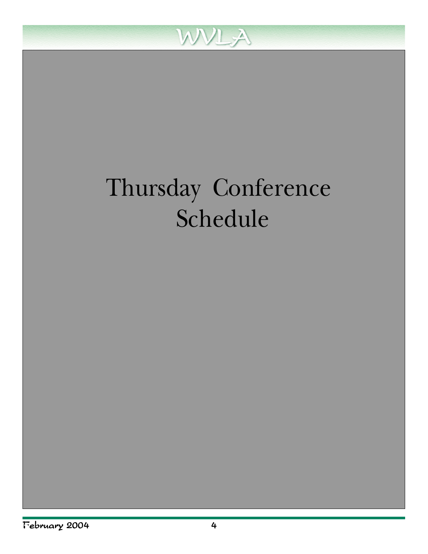

# Thursday Conference Schedule

*—continued on page 5*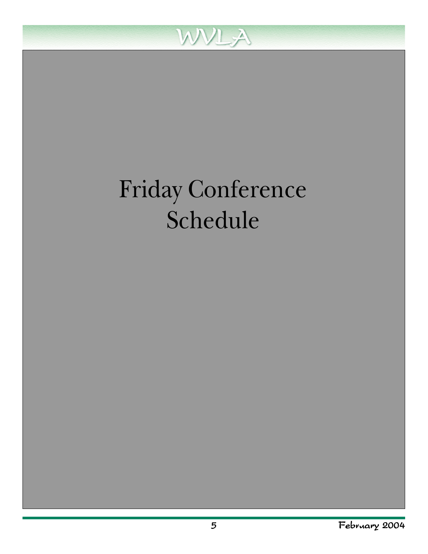

# Friday Conference Schedule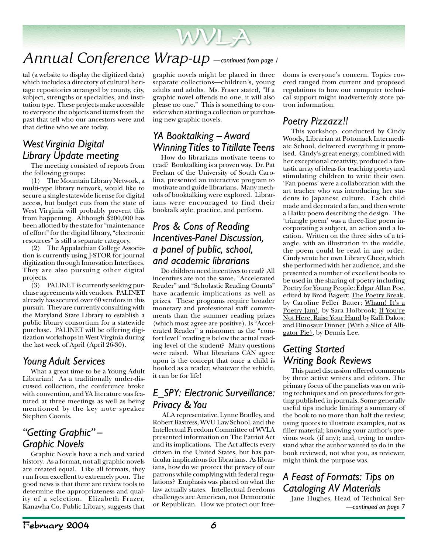### *Annual Conference Wrap-up —continued from page 1*

tal (a website to display the digitized data) which includes a directory of cultural heritage repositories arranged by county, city, subject, strengths or specialties, and institution type. These projects make accessible to everyone the objects and items from the past that tell who our ancestors were and that define who we are today.

#### *West Virginia Digital Library Update meeting*

The meeting consisted of reports from the following groups:

(1) The Mountain Library Network, a multi-type library network, would like to secure a single statewide license for digital access, but budget cuts from the state of West Virginia will probably prevent this from happening. Although \$200,000 has been allotted by the state for "maintenance of effort" for the digital library, "electronic resources" is still a separate category.

(2) The Appalachian College Association is currently using J-STOR for journal digitization through Innovation Interfaces. They are also pursuing other digital projects.

(3) PALINET is currently seeking purchase agreements with vendors. PALINET already has secured over 60 vendors in this pursuit. They are currently consulting with the Maryland State Library to establish a public library consortium for a statewide purchase. PALINET will be offering digitization workshops in West Virginia during the last week of April (April 26-30).

#### *Young Adult Services*

What a great time to be a Young Adult Librarian! As a traditionally under-discussed collection, the conference broke with convention, and YA literature was featured at three meetings as well as being mentioned by the key note speaker Stephen Coonts.

#### *"Getting Graphic" – Graphic Novels*

Graphic Novels have a rich and varied history. As a format, not all graphic novels are created equal. Like all formats, they run from excellent to extremely poor. The good news is that there are review tools to determine the appropriateness and quality of a selection. Elizabeth Frazer, Kanawha Co. Public Library, suggests that

graphic novels might be placed in three separate collections—children's, young adults and adults. Ms. Fraser stated, "If a graphic novel offends no one, it will also please no one." This is something to consider when starting a collection or purchasing new graphic novels.

#### *YA Booktalking – Award Winning Titles to Titillate Teens*

How do librarians motivate teens to read? Booktalking is a proven way. Dr. Pat Feehan of the University of South Carolina, presented an interactive program to motivate and guide librarians. Many methods of booktalking were explored. Librarians were encouraged to find their booktalk style, practice, and perform.

#### *Pros & Cons of Reading Incentives-Panel Discussion, a panel of public, school, and academic librarians*

Do children need incentives to read? All incentives are not the same. "Accelerated Reader" and "Scholastic Reading Counts" have academic implications as well as prizes. These programs require broader monetary and professional staff commitments than the summer reading prizes (which most agree are positive). Is "Accelerated Reader" a misnomer as the "comfort level" reading is below the actual reading level of the student? Many questions were raised. What librarians CAN agree upon is the concept that once a child is hooked as a reader, whatever the vehicle, it can be for life!

#### *E\_SPY: Electronic Surveillance: Privacy & You*

 ALA representative, Lynne Bradley, and Robert Bastress, WVU Law School, and the Intellectual Freedom Committee of WVLA presented information on The Patriot Act and its implications. The Act affects every citizen in the United States, but has particular implications for librarians. As librarians, how do we protect the privacy of our patrons while complying with federal regulations? Emphasis was placed on what the law actually states. Intellectual freedoms challenges are American, not Democratic or Republican. How we protect our free-

doms is everyone's concern. Topics covered ranged from current and proposed regulations to how our computer technical support might inadvertently store patron information.

#### *Poetry Pizzazz!!*

This workshop, conducted by Cindy Woods, Librarian at Potomack Intermediate School, delivered everything it promised. Cindy's great energy, combined with her exceptional creativity, produced a fantastic array of ideas for teaching poetry and stimulating children to write their own. 'Fan poems' were a collaboration with the art teacher who was introducing her students to Japanese culture. Each child made and decorated a fan, and then wrote a Haiku poem describing the design. The 'triangle poem' was a three-line poem incorporating a subject, an action and a location. Written on the three sides of a triangle, with an illustration in the middle, the poem could be read in any order. Cindy wrote her own Library Cheer, which she performed with her audience, and she presented a number of excellent books to be used in the sharing of poetry including Poetry for Young People: Edgar Allan Poe, edited by Brod Bagert; The Poetry Break, by Caroline Feller Bauer; Wham! It's a Poetry Jam!, by Sara Holbrook; If You're Not Here, Raise Your Hand by Kalli Dakos; and Dinosaur Dinner (With a Slice of Alligator Pie), by Dennis Lee.

#### *Getting Started Writing Book Reviews*

This panel discussion offered comments by three active writers and editors. The primary focus of the panelists was on writing techniques and on procedures for getting published in journals. Some generally useful tips include limiting a summary of the book to no more than half the review; using quotes to illustrate examples, not as filler material; knowing your author's previous work (if any); and, trying to understand what the author wanted to do in the book reviewed, not what you, as reviewer, might think the purpose was.

#### *A Feast of Formats: Tips on Cataloging AV Materials*

Jane Hughes, Head of Technical Ser-*—continued on page 7*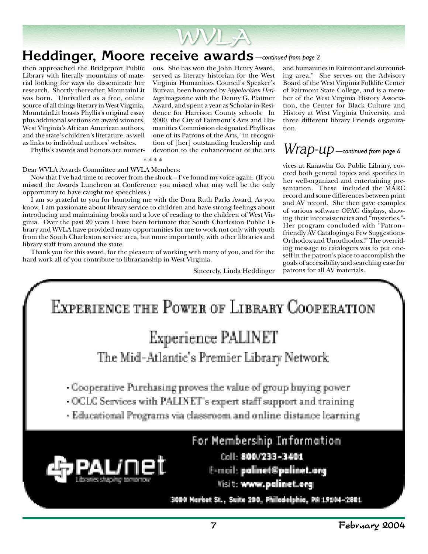

### **Heddinger, Moore receive awards** *—continued from page 2*

then approached the Bridgeport Public Library with literally mountains of material looking for ways do disseminate her research. Shortly thereafter, MountainLit was born. Unrivalled as a free, online source of all things literary in West Virginia, MountainLit boasts Phyllis's original essay plus additional sections on award winners, West Virginia's African American authors, and the state's children's literature, as well as links to individual authors' websites.

ous. She has won the John Henry Award, served as literary historian for the West Virginia Humanities Council's Speaker's Bureau, been honored by *Appalachian Heritage* magazine with the Denny G. Plattner Award, and spent a year as Scholar-in-Residence for Harrison County schools. In 2000, the City of Fairmont's Arts and Humanities Commission designated Phyllis as one of its Patrons of the Arts, "in recognition of [her] outstanding leadership and devotion to the enhancement of the arts

and humanities in Fairmont and surrounding area." She serves on the Advisory Board of the West Virginia Folklife Center of Fairmont State College, and is a member of the West Virginia History Association, the Center for Black Culture and History at West Virginia University, and three different library Friends organization.

### *Wrap-up —continued from page 6*

vices at Kanawha Co. Public Library, covered both general topics and specifics in her well-organized and entertaining presentation. These included the MARC record and some differences between print and AV record. She then gave examples of various software OPAC displays, showing their inconsistencies and "mysteries."- Her program concluded with "Patron- friendly AV Cataloging-a Few Suggestions-Orthodox and Unorthodox!" The overriding message to catalogers was to put oneself in the patron's place to accomplish the goals of accessibility and searching ease for patrons for all AV materials.



#### Dear WVLA Awards Committee and WVLA Members:

Now that I've had time to recover from the shock – I've found my voice again. (If you missed the Awards Luncheon at Conference you missed what may well be the only opportunity to have caught me speechless.)

I am so grateful to you for honoring me with the Dora Ruth Parks Award. As you know, I am passionate about library service to children and have strong feelings about introducing and maintaining books and a love of reading to the children of West Virginia. Over the past 20 years I have been fortunate that South Charleston Public Library and WVLA have provided many opportunities for me to work not only with youth from the South Charleston service area, but more importantly, with other libraries and library staff from around the state.

Thank you for this award, for the pleasure of working with many of you, and for the hard work all of you contribute to librarianship in West Virginia.

Sincerely, Linda Heddinger